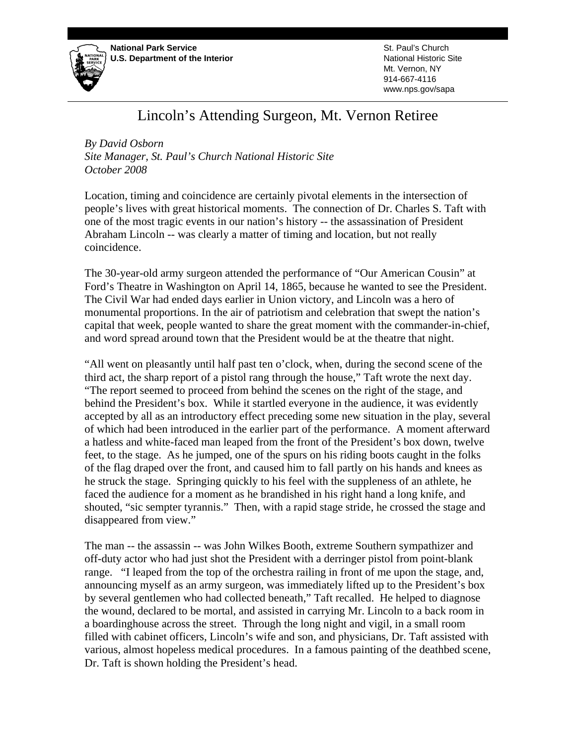

St. Paul's Church National Historic Site Mt. Vernon, NY 914-667-4116 www.nps.gov/sapa

## Lincoln's Attending Surgeon, Mt. Vernon Retiree

*By David Osborn Site Manager, St. Paul's Church National Historic Site October 2008* 

Location, timing and coincidence are certainly pivotal elements in the intersection of people's lives with great historical moments. The connection of Dr. Charles S. Taft with one of the most tragic events in our nation's history -- the assassination of President Abraham Lincoln -- was clearly a matter of timing and location, but not really coincidence.

The 30-year-old army surgeon attended the performance of "Our American Cousin" at Ford's Theatre in Washington on April 14, 1865, because he wanted to see the President. The Civil War had ended days earlier in Union victory, and Lincoln was a hero of monumental proportions. In the air of patriotism and celebration that swept the nation's capital that week, people wanted to share the great moment with the commander-in-chief, and word spread around town that the President would be at the theatre that night.

"All went on pleasantly until half past ten o'clock, when, during the second scene of the third act, the sharp report of a pistol rang through the house," Taft wrote the next day. "The report seemed to proceed from behind the scenes on the right of the stage, and behind the President's box. While it startled everyone in the audience, it was evidently accepted by all as an introductory effect preceding some new situation in the play, several of which had been introduced in the earlier part of the performance. A moment afterward a hatless and white-faced man leaped from the front of the President's box down, twelve feet, to the stage. As he jumped, one of the spurs on his riding boots caught in the folks of the flag draped over the front, and caused him to fall partly on his hands and knees as he struck the stage. Springing quickly to his feel with the suppleness of an athlete, he faced the audience for a moment as he brandished in his right hand a long knife, and shouted, "sic sempter tyrannis." Then, with a rapid stage stride, he crossed the stage and disappeared from view."

The man -- the assassin -- was John Wilkes Booth, extreme Southern sympathizer and off-duty actor who had just shot the President with a derringer pistol from point-blank range. "I leaped from the top of the orchestra railing in front of me upon the stage, and, announcing myself as an army surgeon, was immediately lifted up to the President's box by several gentlemen who had collected beneath," Taft recalled. He helped to diagnose the wound, declared to be mortal, and assisted in carrying Mr. Lincoln to a back room in a boardinghouse across the street. Through the long night and vigil, in a small room filled with cabinet officers, Lincoln's wife and son, and physicians, Dr. Taft assisted with various, almost hopeless medical procedures. In a famous painting of the deathbed scene, Dr. Taft is shown holding the President's head.